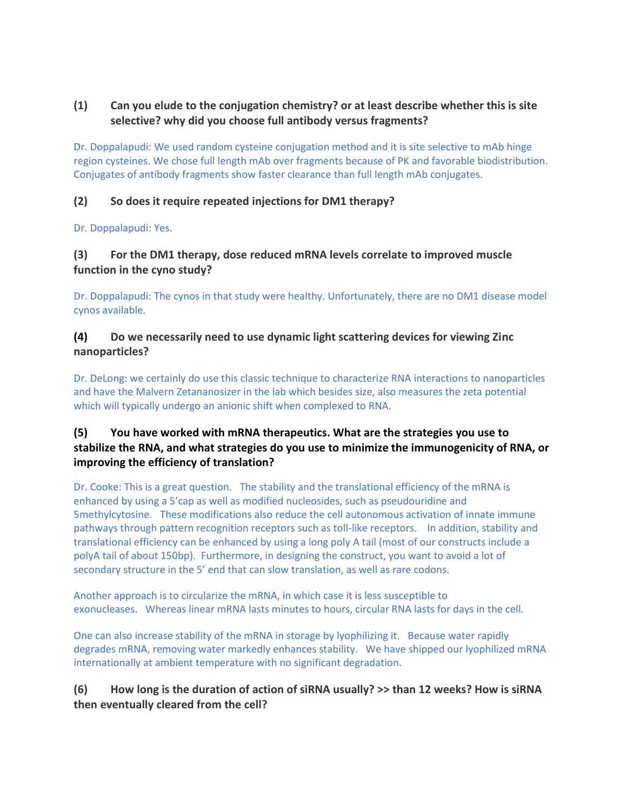# **(1) Can you elude to the conjugation chemistry? or at least describe whether this is site selective? why did you choose full antibody versus fragments?**

Dr. Doppalapudi: We used random cysteine conjugation method and it is site selective to mAb hinge region cysteines. We chose full length mAb over fragments because of PK and favorable biodistribution. Conjugates of antibody fragments show faster clearance than full length mAb conjugates.

#### **(2) So does it require repeated injections for DM1 therapy?**

Dr. Doppalapudi: Yes.

#### **(3) For the DM1 therapy, dose reduced mRNA levels correlate to improved muscle function in the cyno study?**

Dr. Doppalapudi: The cynos in that study were healthy. Unfortunately, there are no DM1 disease model cynos available.

#### **(4) Do we necessarily need to use dynamic light scattering devices for viewing Zinc nanoparticles?**

Dr. DeLong: we certainly do use this classic technique to characterize RNA interactions to nanoparticles and have the Malvern Zetananosizer in the lab which besides size, also measures the zeta potential which will typically undergo an anionic shift when complexed to RNA.

# **(5) You have worked with mRNA therapeutics. What are the strategies you use to stabilize the RNA, and what strategies do you use to minimize the immunogenicity of RNA, or improving the efficiency of translation?**

Dr. Cooke: This is a great question. The stability and the translational efficiency of the mRNA is enhanced by using a 5'cap as well as modified nucleosides, such as pseudouridine and 5methylcytosine. These modifications also reduce the cell autonomous activation of innate immune pathways through pattern recognition receptors such as toll-like receptors. In addition, stability and translational efficiency can be enhanced by using a long poly A tail (most of our constructs include a polyA tail of about 150bp). Furthermore, in designing the construct, you want to avoid a lot of secondary structure in the 5' end that can slow translation, as well as rare codons.

Another approach is to circularize the mRNA, in which case it is less susceptible to exonucleases. Whereas linear mRNA lasts minutes to hours, circular RNA lasts for days in the cell.

One can also increase stability of the mRNA in storage by lyophilizing it. Because water rapidly degrades mRNA, removing water markedly enhances stability. We have shipped our lyophilized mRNA internationally at ambient temperature with no significant degradation.

# **(6) How long is the duration of action of siRNA usually? >> than 12 weeks? How is siRNA then eventually cleared from the cell?**